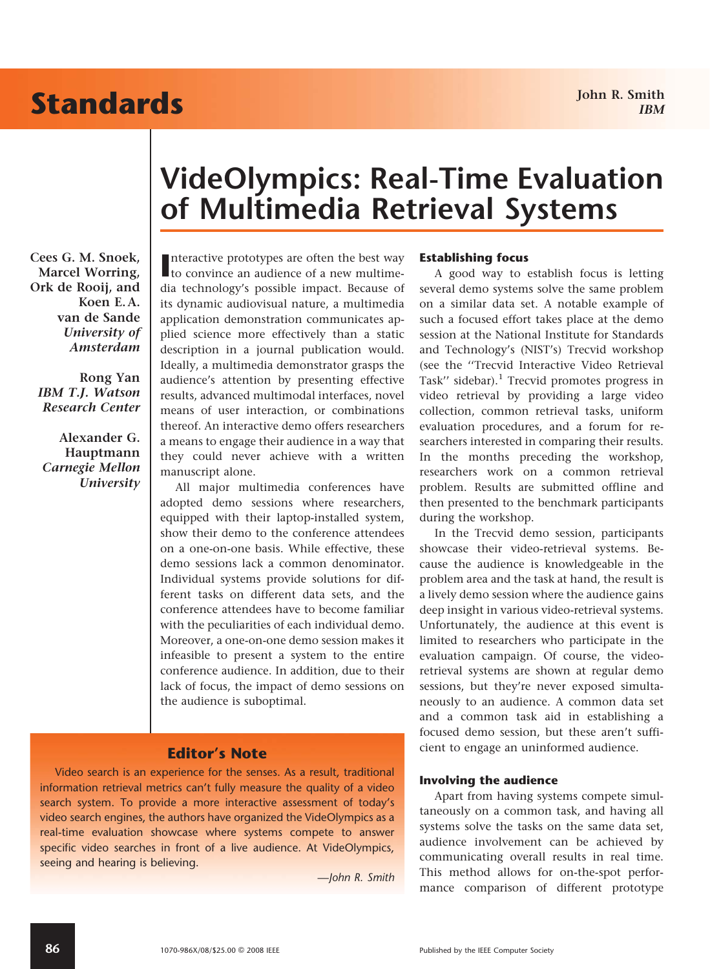# Standards John R. Smith

# VideOlympics: Real-Time Evaluation of Multimedia Retrieval Systems

Cees G. M. Snoek, Marcel Worring, Ork de Rooij, and Koen E.A. van de Sande University of Amsterdam

Rong Yan IBM T.J. Watson Research Center

Alexander G. Hauptmann Carnegie Mellon **University** 

Interactive prototypes are often the best way<br>to convince an audience of a new multimenteractive prototypes are often the best way dia technology's possible impact. Because of its dynamic audiovisual nature, a multimedia application demonstration communicates applied science more effectively than a static description in a journal publication would. Ideally, a multimedia demonstrator grasps the audience's attention by presenting effective results, advanced multimodal interfaces, novel means of user interaction, or combinations thereof. An interactive demo offers researchers a means to engage their audience in a way that they could never achieve with a written manuscript alone.

All major multimedia conferences have adopted demo sessions where researchers, equipped with their laptop-installed system, show their demo to the conference attendees on a one-on-one basis. While effective, these demo sessions lack a common denominator. Individual systems provide solutions for different tasks on different data sets, and the conference attendees have to become familiar with the peculiarities of each individual demo. Moreover, a one-on-one demo session makes it infeasible to present a system to the entire conference audience. In addition, due to their lack of focus, the impact of demo sessions on the audience is suboptimal.

## Editor's Note

Video search is an experience for the senses. As a result, traditional information retrieval metrics can't fully measure the quality of a video search system. To provide a more interactive assessment of today's video search engines, the authors have organized the VideOlympics as a real-time evaluation showcase where systems compete to answer specific video searches in front of a live audience. At VideOlympics, seeing and hearing is believing.

—John R. Smith

## Establishing focus

A good way to establish focus is letting several demo systems solve the same problem on a similar data set. A notable example of such a focused effort takes place at the demo session at the National Institute for Standards and Technology's (NIST's) Trecvid workshop (see the ''Trecvid Interactive Video Retrieval Task" sidebar). $<sup>1</sup>$  Trecvid promotes progress in</sup> video retrieval by providing a large video collection, common retrieval tasks, uniform evaluation procedures, and a forum for researchers interested in comparing their results. In the months preceding the workshop, researchers work on a common retrieval problem. Results are submitted offline and then presented to the benchmark participants during the workshop.

In the Trecvid demo session, participants showcase their video-retrieval systems. Because the audience is knowledgeable in the problem area and the task at hand, the result is a lively demo session where the audience gains deep insight in various video-retrieval systems. Unfortunately, the audience at this event is limited to researchers who participate in the evaluation campaign. Of course, the videoretrieval systems are shown at regular demo sessions, but they're never exposed simultaneously to an audience. A common data set and a common task aid in establishing a focused demo session, but these aren't sufficient to engage an uninformed audience.

#### Involving the audience

Apart from having systems compete simultaneously on a common task, and having all systems solve the tasks on the same data set, audience involvement can be achieved by communicating overall results in real time. This method allows for on-the-spot performance comparison of different prototype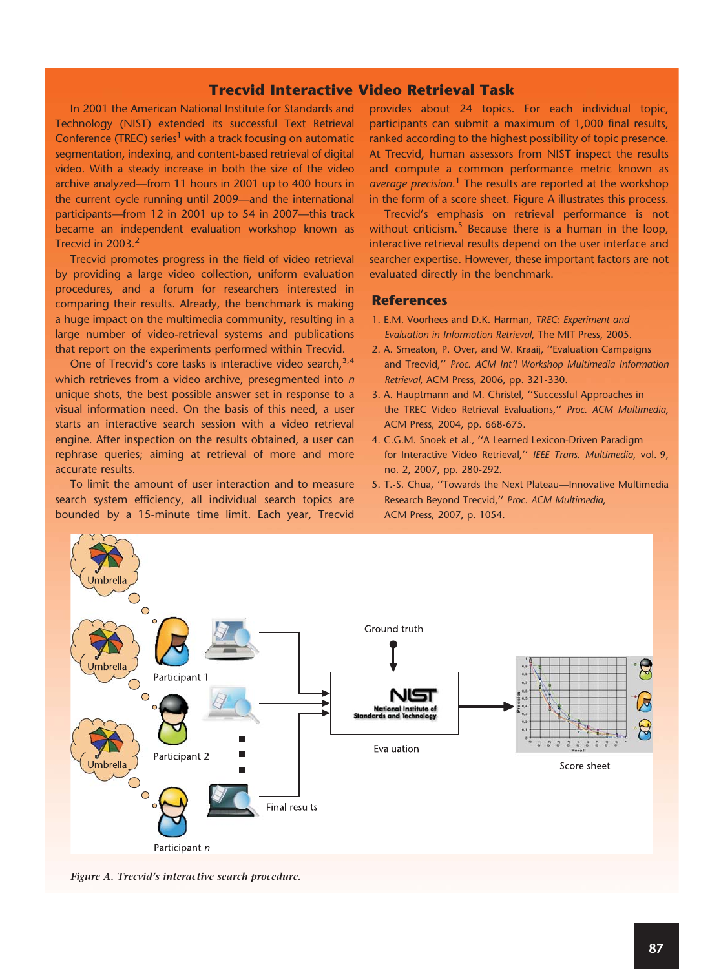## Trecvid Interactive Video Retrieval Task

In 2001 the American National Institute for Standards and Technology (NIST) extended its successful Text Retrieval Conference (TREC) series<sup>1</sup> with a track focusing on automatic segmentation, indexing, and content-based retrieval of digital video. With a steady increase in both the size of the video archive analyzed—from 11 hours in 2001 up to 400 hours in the current cycle running until 2009—and the international participants—from 12 in 2001 up to 54 in 2007—this track became an independent evaluation workshop known as Trecvid in  $2003.<sup>2</sup>$ 

Trecvid promotes progress in the field of video retrieval by providing a large video collection, uniform evaluation procedures, and a forum for researchers interested in comparing their results. Already, the benchmark is making a huge impact on the multimedia community, resulting in a large number of video-retrieval systems and publications that report on the experiments performed within Trecvid.

One of Trecvid's core tasks is interactive video search, 3,4 which retrieves from a video archive, presegmented into  $n$ unique shots, the best possible answer set in response to a visual information need. On the basis of this need, a user starts an interactive search session with a video retrieval engine. After inspection on the results obtained, a user can rephrase queries; aiming at retrieval of more and more accurate results.

To limit the amount of user interaction and to measure search system efficiency, all individual search topics are bounded by a 15-minute time limit. Each year, Trecvid

provides about 24 topics. For each individual topic, participants can submit a maximum of 1,000 final results, ranked according to the highest possibility of topic presence. At Trecvid, human assessors from NIST inspect the results and compute a common performance metric known as average precision.<sup>1</sup> The results are reported at the workshop in the form of a score sheet. Figure A illustrates this process.

Trecvid's emphasis on retrieval performance is not without criticism. $<sup>5</sup>$  Because there is a human in the loop,</sup> interactive retrieval results depend on the user interface and searcher expertise. However, these important factors are not evaluated directly in the benchmark.

## **References**

- 1. E.M. Voorhees and D.K. Harman, TREC: Experiment and Evaluation in Information Retrieval, The MIT Press, 2005.
- 2. A. Smeaton, P. Over, and W. Kraaij, ''Evaluation Campaigns and Trecvid,'' Proc. ACM Int'l Workshop Multimedia Information Retrieval, ACM Press, 2006, pp. 321-330.
- 3. A. Hauptmann and M. Christel, ''Successful Approaches in the TREC Video Retrieval Evaluations,'' Proc. ACM Multimedia, ACM Press, 2004, pp. 668-675.
- 4. C.G.M. Snoek et al., ''A Learned Lexicon-Driven Paradigm for Interactive Video Retrieval,'' IEEE Trans. Multimedia, vol. 9, no. 2, 2007, pp. 280-292.
- 5. T.-S. Chua, ''Towards the Next Plateau—Innovative Multimedia Research Beyond Trecvid,'' Proc. ACM Multimedia, ACM Press, 2007, p. 1054.



Figure A. Trecvid's interactive search procedure.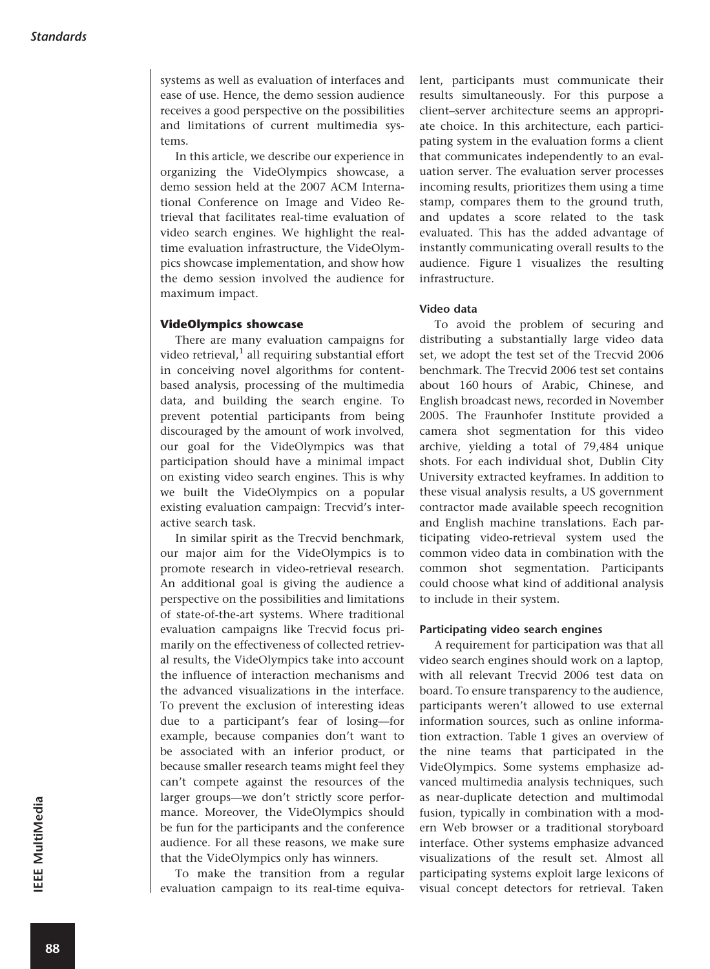EEE MultiMedia IEEE MultiMedia

systems as well as evaluation of interfaces and ease of use. Hence, the demo session audience receives a good perspective on the possibilities and limitations of current multimedia systems.

In this article, we describe our experience in organizing the VideOlympics showcase, a demo session held at the 2007 ACM International Conference on Image and Video Retrieval that facilitates real-time evaluation of video search engines. We highlight the realtime evaluation infrastructure, the VideOlympics showcase implementation, and show how the demo session involved the audience for maximum impact.

## VideOlympics showcase

There are many evaluation campaigns for video retrieval, $<sup>1</sup>$  all requiring substantial effort</sup> in conceiving novel algorithms for contentbased analysis, processing of the multimedia data, and building the search engine. To prevent potential participants from being discouraged by the amount of work involved, our goal for the VideOlympics was that participation should have a minimal impact on existing video search engines. This is why we built the VideOlympics on a popular existing evaluation campaign: Trecvid's interactive search task.

In similar spirit as the Trecvid benchmark, our major aim for the VideOlympics is to promote research in video-retrieval research. An additional goal is giving the audience a perspective on the possibilities and limitations of state-of-the-art systems. Where traditional evaluation campaigns like Trecvid focus primarily on the effectiveness of collected retrieval results, the VideOlympics take into account the influence of interaction mechanisms and the advanced visualizations in the interface. To prevent the exclusion of interesting ideas due to a participant's fear of losing—for example, because companies don't want to be associated with an inferior product, or because smaller research teams might feel they can't compete against the resources of the larger groups—we don't strictly score performance. Moreover, the VideOlympics should be fun for the participants and the conference audience. For all these reasons, we make sure that the VideOlympics only has winners.

To make the transition from a regular evaluation campaign to its real-time equiva-

lent, participants must communicate their results simultaneously. For this purpose a client–server architecture seems an appropriate choice. In this architecture, each participating system in the evaluation forms a client that communicates independently to an evaluation server. The evaluation server processes incoming results, prioritizes them using a time stamp, compares them to the ground truth, and updates a score related to the task evaluated. This has the added advantage of instantly communicating overall results to the audience. Figure 1 visualizes the resulting infrastructure.

### Video data

To avoid the problem of securing and distributing a substantially large video data set, we adopt the test set of the Trecvid 2006 benchmark. The Trecvid 2006 test set contains about 160 hours of Arabic, Chinese, and English broadcast news, recorded in November 2005. The Fraunhofer Institute provided a camera shot segmentation for this video archive, yielding a total of 79,484 unique shots. For each individual shot, Dublin City University extracted keyframes. In addition to these visual analysis results, a US government contractor made available speech recognition and English machine translations. Each participating video-retrieval system used the common video data in combination with the common shot segmentation. Participants could choose what kind of additional analysis to include in their system.

#### Participating video search engines

A requirement for participation was that all video search engines should work on a laptop, with all relevant Trecvid 2006 test data on board. To ensure transparency to the audience, participants weren't allowed to use external information sources, such as online information extraction. Table 1 gives an overview of the nine teams that participated in the VideOlympics. Some systems emphasize advanced multimedia analysis techniques, such as near-duplicate detection and multimodal fusion, typically in combination with a modern Web browser or a traditional storyboard interface. Other systems emphasize advanced visualizations of the result set. Almost all participating systems exploit large lexicons of visual concept detectors for retrieval. Taken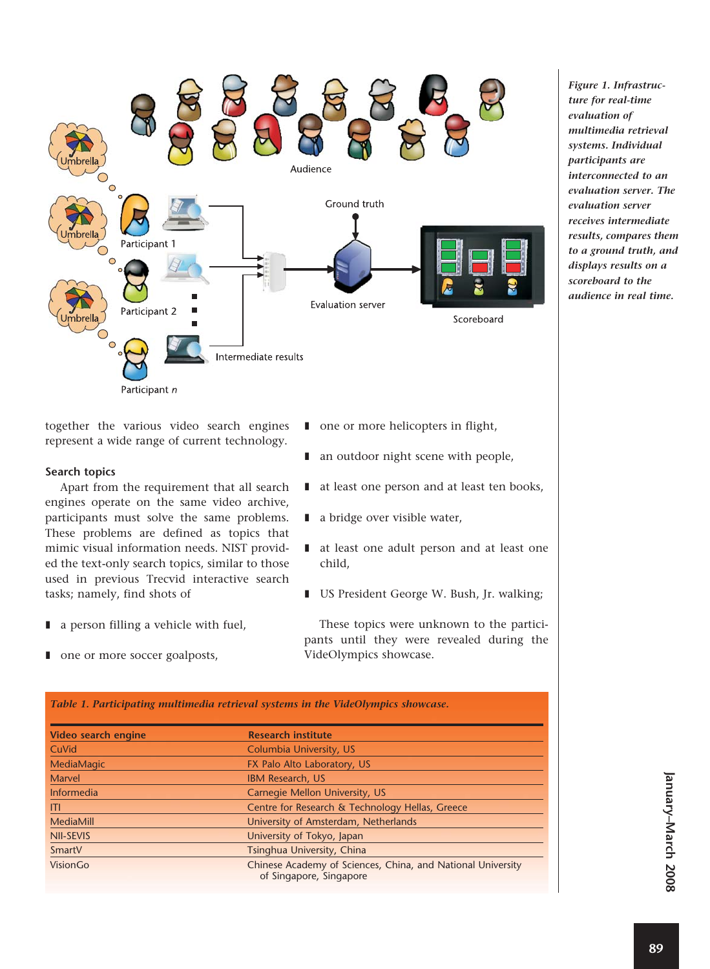

Figure 1. Infrastructure for real-time evaluation of multimedia retrieval systems. Individual participants are interconnected to an evaluation server. The evaluation server receives intermediate results, compares them to a ground truth, and displays results on a scoreboard to the audience in real time.

together the various video search engines represent a wide range of current technology.

## Search topics

Apart from the requirement that all search engines operate on the same video archive, participants must solve the same problems. These problems are defined as topics that mimic visual information needs. NIST provided the text-only search topics, similar to those used in previous Trecvid interactive search tasks; namely, find shots of

- $\blacksquare$  a person filling a vehicle with fuel,
- none or more soccer goalposts,
- one or more helicopters in flight,
- **a** an outdoor night scene with people,
- I at least one person and at least ten books,
- a bridge over visible water,
- I at least one adult person and at least one child,
- **US President George W. Bush, Jr. walking;**

These topics were unknown to the participants until they were revealed during the VideOlympics showcase.

| Video search engine | <b>Research institute</b>                                                              |
|---------------------|----------------------------------------------------------------------------------------|
| CuVid               | Columbia University, US                                                                |
| <b>MediaMagic</b>   | FX Palo Alto Laboratory, US                                                            |
| Marvel              | <b>IBM Research, US</b>                                                                |
| Informedia          | Carnegie Mellon University, US                                                         |
| T                   | Centre for Research & Technology Hellas, Greece                                        |
| MediaMill           | University of Amsterdam, Netherlands                                                   |
| <b>NII-SEVIS</b>    | University of Tokyo, Japan                                                             |
| SmartV              | Tsinghua University, China                                                             |
| VisionGo            | Chinese Academy of Sciences, China, and National University<br>of Singapore, Singapore |

Table 1. Participating multimedia retrieval systems in the VideOlympics showcase.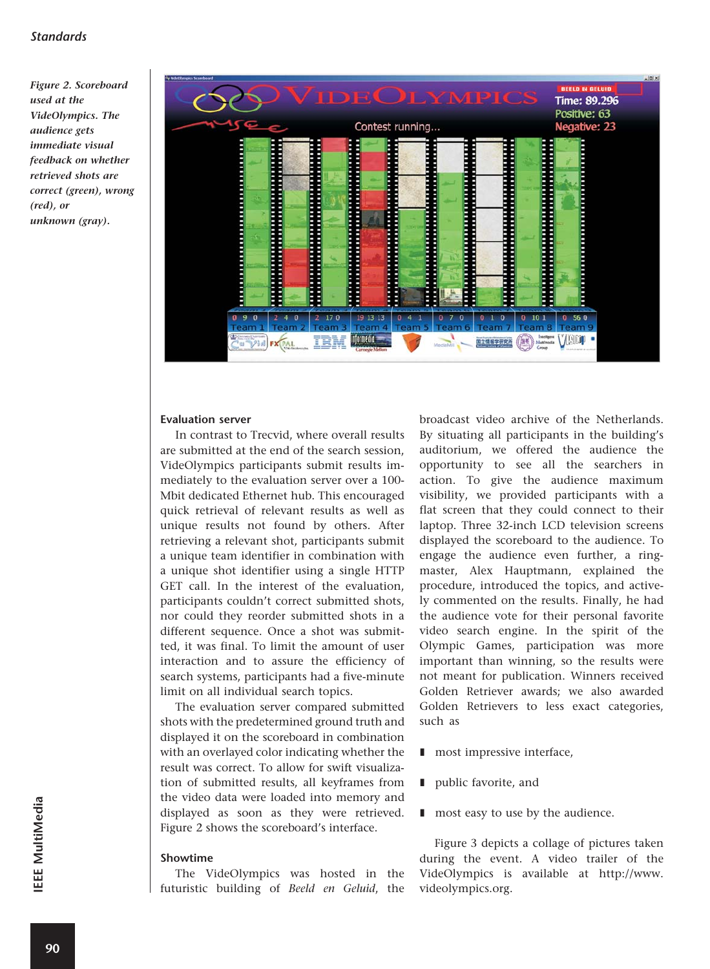## **Standards**

Figure 2. Scoreboard used at the VideOlympics. The audience gets immediate visual feedback on whether retrieved shots are correct (green), wrong (red), or unknown (gray).



#### Evaluation server

In contrast to Trecvid, where overall results are submitted at the end of the search session, VideOlympics participants submit results immediately to the evaluation server over a 100- Mbit dedicated Ethernet hub. This encouraged quick retrieval of relevant results as well as unique results not found by others. After retrieving a relevant shot, participants submit a unique team identifier in combination with a unique shot identifier using a single HTTP GET call. In the interest of the evaluation, participants couldn't correct submitted shots, nor could they reorder submitted shots in a different sequence. Once a shot was submitted, it was final. To limit the amount of user interaction and to assure the efficiency of search systems, participants had a five-minute limit on all individual search topics.

The evaluation server compared submitted shots with the predetermined ground truth and displayed it on the scoreboard in combination with an overlayed color indicating whether the result was correct. To allow for swift visualization of submitted results, all keyframes from the video data were loaded into memory and displayed as soon as they were retrieved. Figure 2 shows the scoreboard's interface.

#### Showtime

The VideOlympics was hosted in the futuristic building of Beeld en Geluid, the

broadcast video archive of the Netherlands. By situating all participants in the building's auditorium, we offered the audience the opportunity to see all the searchers in action. To give the audience maximum visibility, we provided participants with a flat screen that they could connect to their laptop. Three 32-inch LCD television screens displayed the scoreboard to the audience. To engage the audience even further, a ringmaster, Alex Hauptmann, explained the procedure, introduced the topics, and actively commented on the results. Finally, he had the audience vote for their personal favorite video search engine. In the spirit of the Olympic Games, participation was more important than winning, so the results were not meant for publication. Winners received Golden Retriever awards; we also awarded Golden Retrievers to less exact categories, such as

- most impressive interface,
- **I** public favorite, and
- most easy to use by the audience.

Figure 3 depicts a collage of pictures taken during the event. A video trailer of the VideOlympics is available at http://www. videolympics.org.